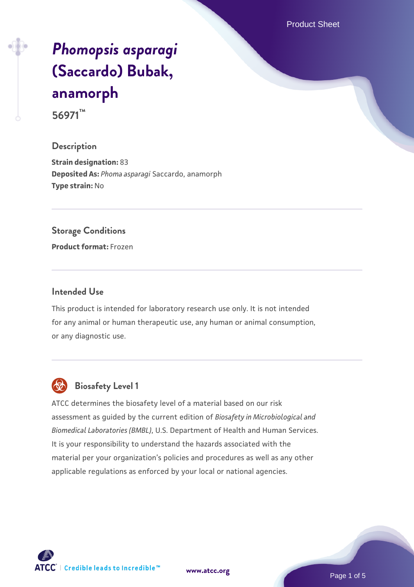Product Sheet

# *[Phomopsis asparagi](https://www.atcc.org/products/56971)* **[\(Saccardo\) Bubak,](https://www.atcc.org/products/56971) [anamorph](https://www.atcc.org/products/56971) 56971™**

**Description**

**Strain designation:** 83 **Deposited As:** *Phoma asparagi* Saccardo, anamorph **Type strain:** No

# **Storage Conditions**

**Product format:** Frozen

# **Intended Use**

This product is intended for laboratory research use only. It is not intended for any animal or human therapeutic use, any human or animal consumption, or any diagnostic use.



# **Biosafety Level 1**

ATCC determines the biosafety level of a material based on our risk assessment as guided by the current edition of *Biosafety in Microbiological and Biomedical Laboratories (BMBL)*, U.S. Department of Health and Human Services. It is your responsibility to understand the hazards associated with the material per your organization's policies and procedures as well as any other applicable regulations as enforced by your local or national agencies.

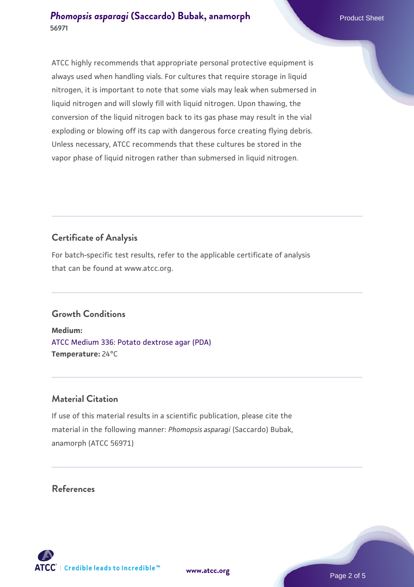ATCC highly recommends that appropriate personal protective equipment is always used when handling vials. For cultures that require storage in liquid nitrogen, it is important to note that some vials may leak when submersed in liquid nitrogen and will slowly fill with liquid nitrogen. Upon thawing, the conversion of the liquid nitrogen back to its gas phase may result in the vial exploding or blowing off its cap with dangerous force creating flying debris. Unless necessary, ATCC recommends that these cultures be stored in the vapor phase of liquid nitrogen rather than submersed in liquid nitrogen.

# **Certificate of Analysis**

For batch-specific test results, refer to the applicable certificate of analysis that can be found at www.atcc.org.

# **Growth Conditions**

**Medium:**  [ATCC Medium 336: Potato dextrose agar \(PDA\)](https://www.atcc.org/-/media/product-assets/documents/microbial-media-formulations/3/3/6/atcc-medium-336.pdf?rev=d9160ad44d934cd8b65175461abbf3b9) **Temperature:** 24°C

# **Material Citation**

If use of this material results in a scientific publication, please cite the material in the following manner: *Phomopsis asparagi* (Saccardo) Bubak, anamorph (ATCC 56971)

# **References**

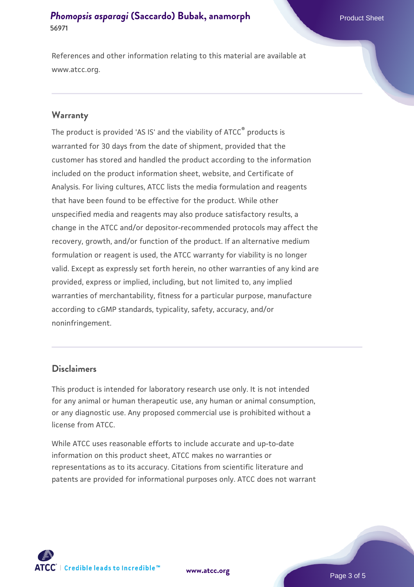References and other information relating to this material are available at www.atcc.org.

### **Warranty**

The product is provided 'AS IS' and the viability of ATCC® products is warranted for 30 days from the date of shipment, provided that the customer has stored and handled the product according to the information included on the product information sheet, website, and Certificate of Analysis. For living cultures, ATCC lists the media formulation and reagents that have been found to be effective for the product. While other unspecified media and reagents may also produce satisfactory results, a change in the ATCC and/or depositor-recommended protocols may affect the recovery, growth, and/or function of the product. If an alternative medium formulation or reagent is used, the ATCC warranty for viability is no longer valid. Except as expressly set forth herein, no other warranties of any kind are provided, express or implied, including, but not limited to, any implied warranties of merchantability, fitness for a particular purpose, manufacture according to cGMP standards, typicality, safety, accuracy, and/or noninfringement.

## **Disclaimers**

This product is intended for laboratory research use only. It is not intended for any animal or human therapeutic use, any human or animal consumption, or any diagnostic use. Any proposed commercial use is prohibited without a license from ATCC.

While ATCC uses reasonable efforts to include accurate and up-to-date information on this product sheet, ATCC makes no warranties or representations as to its accuracy. Citations from scientific literature and patents are provided for informational purposes only. ATCC does not warrant



**[www.atcc.org](http://www.atcc.org)**

Page 3 of 5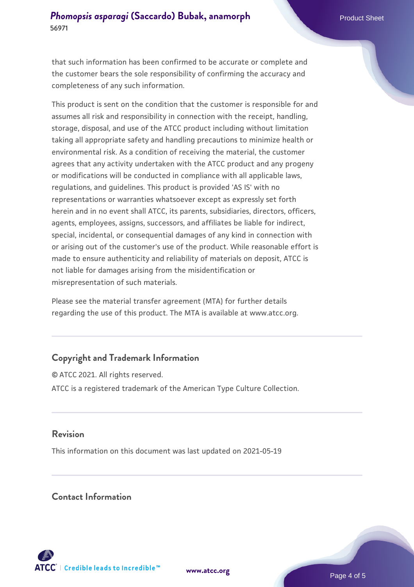that such information has been confirmed to be accurate or complete and the customer bears the sole responsibility of confirming the accuracy and completeness of any such information.

This product is sent on the condition that the customer is responsible for and assumes all risk and responsibility in connection with the receipt, handling, storage, disposal, and use of the ATCC product including without limitation taking all appropriate safety and handling precautions to minimize health or environmental risk. As a condition of receiving the material, the customer agrees that any activity undertaken with the ATCC product and any progeny or modifications will be conducted in compliance with all applicable laws, regulations, and guidelines. This product is provided 'AS IS' with no representations or warranties whatsoever except as expressly set forth herein and in no event shall ATCC, its parents, subsidiaries, directors, officers, agents, employees, assigns, successors, and affiliates be liable for indirect, special, incidental, or consequential damages of any kind in connection with or arising out of the customer's use of the product. While reasonable effort is made to ensure authenticity and reliability of materials on deposit, ATCC is not liable for damages arising from the misidentification or misrepresentation of such materials.

Please see the material transfer agreement (MTA) for further details regarding the use of this product. The MTA is available at www.atcc.org.

# **Copyright and Trademark Information**

© ATCC 2021. All rights reserved. ATCC is a registered trademark of the American Type Culture Collection.

# **Revision**

This information on this document was last updated on 2021-05-19

# **Contact Information**



**[www.atcc.org](http://www.atcc.org)**

Page 4 of 5